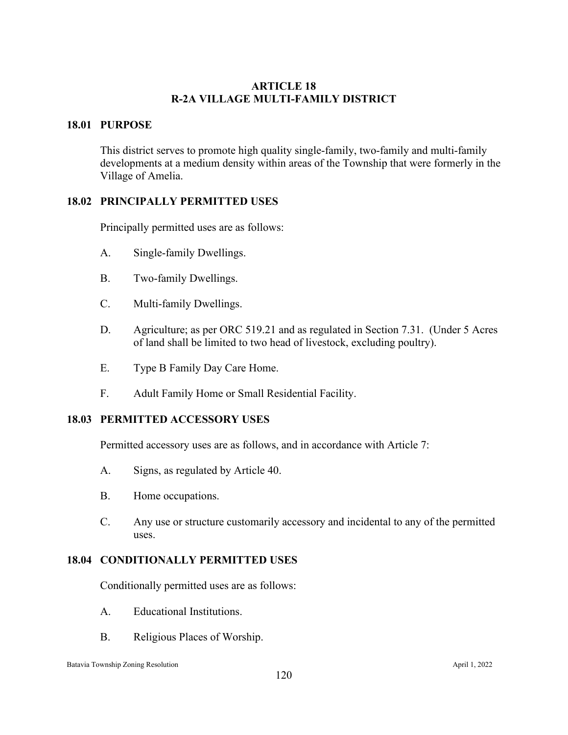# **ARTICLE 18 R-2A VILLAGE MULTI-FAMILY DISTRICT**

# **18.01 PURPOSE**

This district serves to promote high quality single-family, two-family and multi-family developments at a medium density within areas of the Township that were formerly in the Village of Amelia.

# **18.02 PRINCIPALLY PERMITTED USES**

Principally permitted uses are as follows:

- A. Single-family Dwellings.
- B. Two-family Dwellings.
- C. Multi-family Dwellings.
- D. Agriculture; as per ORC 519.21 and as regulated in Section 7.31. (Under 5 Acres of land shall be limited to two head of livestock, excluding poultry).
- E. Type B Family Day Care Home.
- F. Adult Family Home or Small Residential Facility.

### **18.03 PERMITTED ACCESSORY USES**

Permitted accessory uses are as follows, and in accordance with Article 7:

- A. Signs, as regulated by Article 40.
- B. Home occupations.
- C. Any use or structure customarily accessory and incidental to any of the permitted uses.

### **18.04 CONDITIONALLY PERMITTED USES**

Conditionally permitted uses are as follows:

- A. Educational Institutions.
- B. Religious Places of Worship.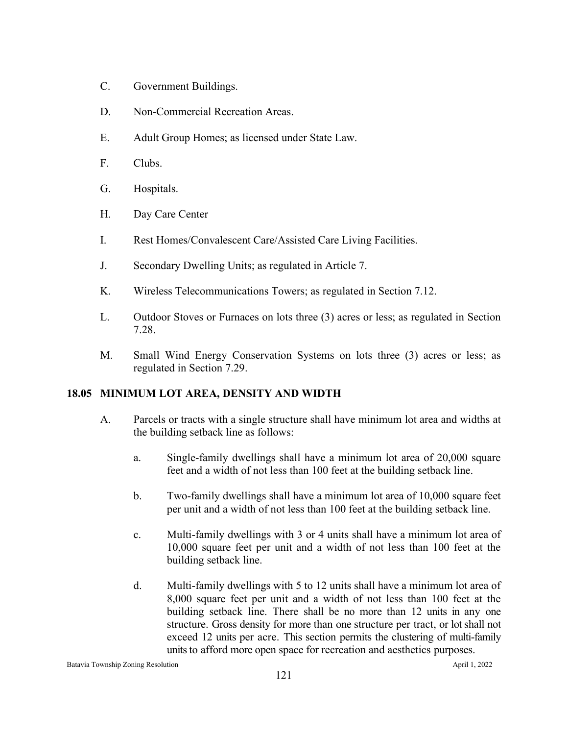- C. Government Buildings.
- D. Non-Commercial Recreation Areas.
- E. Adult Group Homes; as licensed under State Law.
- F. Clubs.
- G. Hospitals.
- H. Day Care Center
- I. Rest Homes/Convalescent Care/Assisted Care Living Facilities.
- J. Secondary Dwelling Units; as regulated in Article 7.
- K. Wireless Telecommunications Towers; as regulated in Section 7.12.
- L. Outdoor Stoves or Furnaces on lots three (3) acres or less; as regulated in Section 7.28.
- M. Small Wind Energy Conservation Systems on lots three (3) acres or less; as regulated in Section 7.29.

# **18.05 MINIMUM LOT AREA, DENSITY AND WIDTH**

- A. Parcels or tracts with a single structure shall have minimum lot area and widths at the building setback line as follows:
	- a. Single-family dwellings shall have a minimum lot area of 20,000 square feet and a width of not less than 100 feet at the building setback line.
	- b. Two-family dwellings shall have a minimum lot area of 10,000 square feet per unit and a width of not less than 100 feet at the building setback line.
	- c. Multi-family dwellings with 3 or 4 units shall have a minimum lot area of 10,000 square feet per unit and a width of not less than 100 feet at the building setback line.
	- d. Multi-family dwellings with 5 to 12 units shall have a minimum lot area of 8,000 square feet per unit and a width of not less than 100 feet at the building setback line. There shall be no more than 12 units in any one structure. Gross density for more than one structure per tract, or lot shall not exceed 12 units per acre. This section permits the clustering of multi-family units to afford more open space for recreation and aesthetics purposes.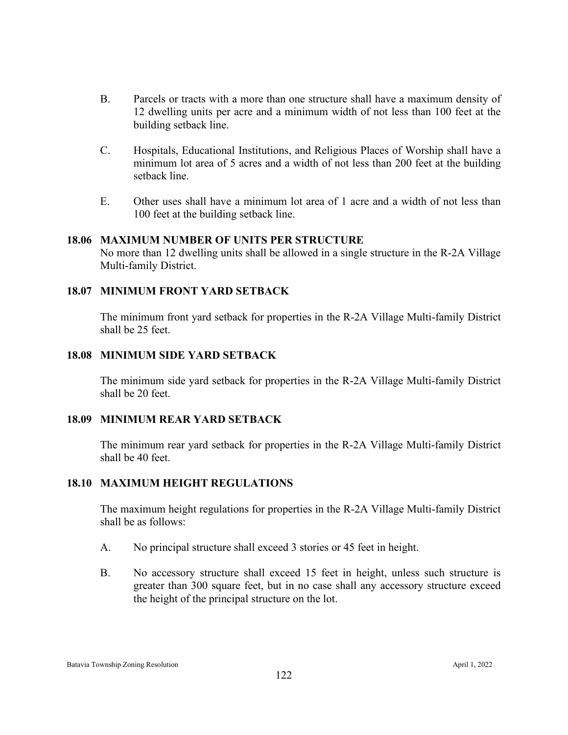- B. Parcels or tracts with a more than one structure shall have a maximum density of 12 dwelling units per acre and a minimum width of not less than 100 feet at the building setback line.
- C. Hospitals, Educational Institutions, and Religious Places of Worship shall have a minimum lot area of 5 acres and a width of not less than 200 feet at the building setback line.
- E. Other uses shall have a minimum lot area of 1 acre and a width of not less than 100 feet at the building setback line.

### **18.06 MAXIMUM NUMBER OF UNITS PER STRUCTURE**

No more than 12 dwelling units shall be allowed in a single structure in the R-2A Village Multi-family District.

### **18.07 MINIMUM FRONT YARD SETBACK**

The minimum front yard setback for properties in the R-2A Village Multi-family District shall be 25 feet.

#### **18.08 MINIMUM SIDE YARD SETBACK**

The minimum side yard setback for properties in the R-2A Village Multi-family District shall be 20 feet.

#### **18.09 MINIMUM REAR YARD SETBACK**

The minimum rear yard setback for properties in the R-2A Village Multi-family District shall be 40 feet.

### **18.10 MAXIMUM HEIGHT REGULATIONS**

The maximum height regulations for properties in the R-2A Village Multi-family District shall be as follows:

- A. No principal structure shall exceed 3 stories or 45 feet in height.
- B. No accessory structure shall exceed 15 feet in height, unless such structure is greater than 300 square feet, but in no case shall any accessory structure exceed the height of the principal structure on the lot.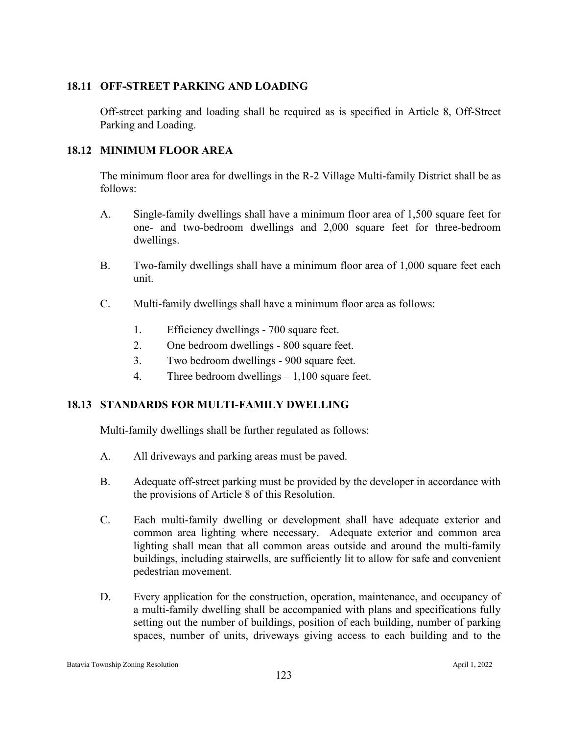# **18.11 OFF-STREET PARKING AND LOADING**

Off-street parking and loading shall be required as is specified in Article 8, Off-Street Parking and Loading.

# **18.12 MINIMUM FLOOR AREA**

The minimum floor area for dwellings in the R-2 Village Multi-family District shall be as follows:

- A. Single-family dwellings shall have a minimum floor area of 1,500 square feet for one- and two-bedroom dwellings and 2,000 square feet for three-bedroom dwellings.
- B. Two-family dwellings shall have a minimum floor area of 1,000 square feet each unit.
- C. Multi-family dwellings shall have a minimum floor area as follows:
	- 1. Efficiency dwellings 700 square feet.
	- 2. One bedroom dwellings 800 square feet.
	- 3. Two bedroom dwellings 900 square feet.
	- 4. Three bedroom dwellings 1,100 square feet.

# **18.13 STANDARDS FOR MULTI-FAMILY DWELLING**

Multi-family dwellings shall be further regulated as follows:

- A. All driveways and parking areas must be paved.
- B. Adequate off-street parking must be provided by the developer in accordance with the provisions of Article 8 of this Resolution.
- C. Each multi-family dwelling or development shall have adequate exterior and common area lighting where necessary. Adequate exterior and common area lighting shall mean that all common areas outside and around the multi-family buildings, including stairwells, are sufficiently lit to allow for safe and convenient pedestrian movement.
- D. Every application for the construction, operation, maintenance, and occupancy of a multi-family dwelling shall be accompanied with plans and specifications fully setting out the number of buildings, position of each building, number of parking spaces, number of units, driveways giving access to each building and to the

Batavia Township Zoning Resolution April 1, 2022